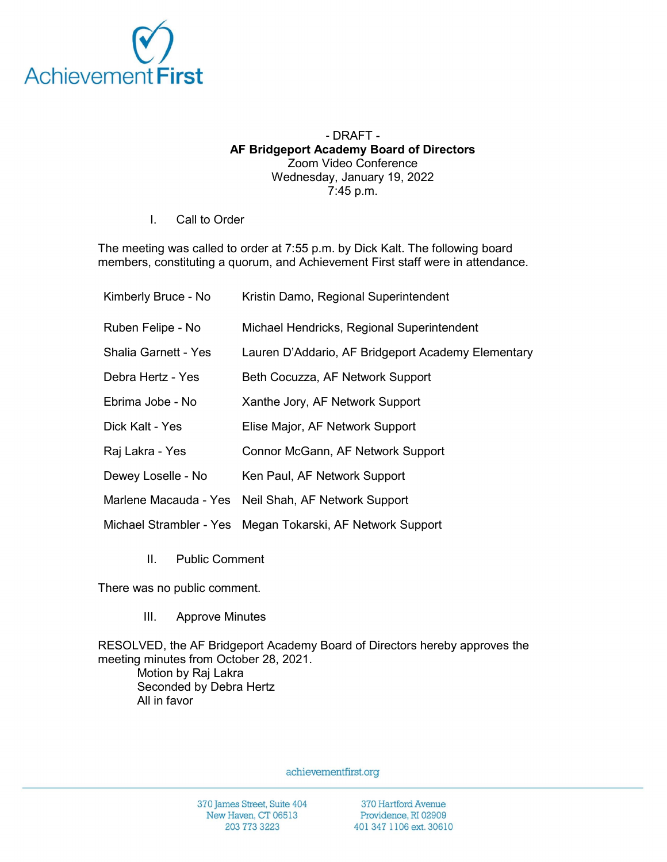

## - DRAFT - AF Bridgeport Academy Board of Directors Zoom Video Conference Wednesday, January 19, 2022 7:45 p.m.

I. Call to Order

The meeting was called to order at 7:55 p.m. by Dick Kalt. The following board members, constituting a quorum, and Achievement First staff were in attendance.

| Kimberly Bruce - No         | Kristin Damo, Regional Superintendent                      |
|-----------------------------|------------------------------------------------------------|
| Ruben Felipe - No           | Michael Hendricks, Regional Superintendent                 |
| <b>Shalia Garnett - Yes</b> | Lauren D'Addario, AF Bridgeport Academy Elementary         |
| Debra Hertz - Yes           | Beth Cocuzza, AF Network Support                           |
| Ebrima Jobe - No            | Xanthe Jory, AF Network Support                            |
| Dick Kalt - Yes             | Elise Major, AF Network Support                            |
| Raj Lakra - Yes             | Connor McGann, AF Network Support                          |
| Dewey Loselle - No          | Ken Paul, AF Network Support                               |
|                             | Marlene Macauda - Yes Neil Shah, AF Network Support        |
|                             | Michael Strambler - Yes Megan Tokarski, AF Network Support |

II. Public Comment

There was no public comment.

III. Approve Minutes

RESOLVED, the AF Bridgeport Academy Board of Directors hereby approves the meeting minutes from October 28, 2021. Motion by Raj Lakra Seconded by Debra Hertz All in favor

achievementfirst.org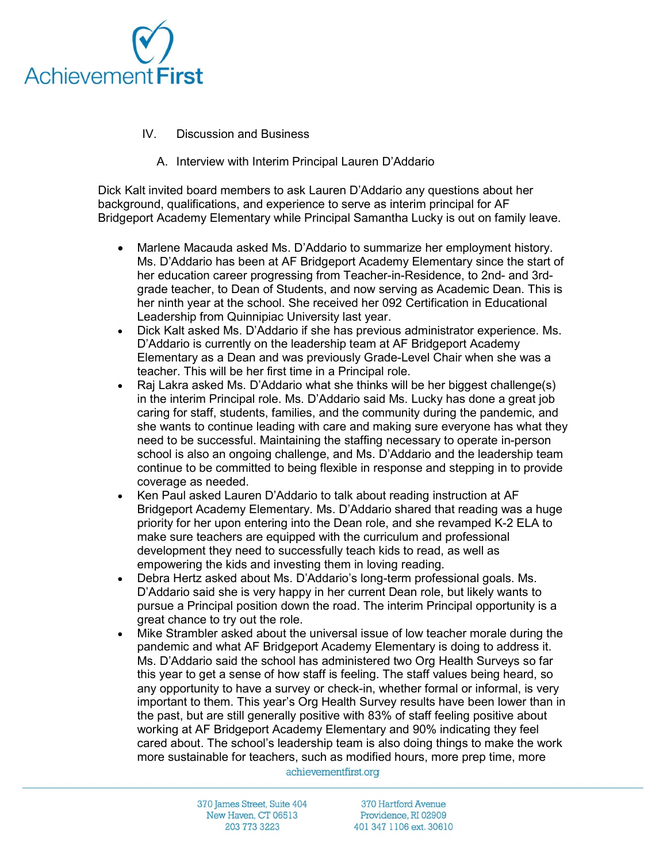

- IV. Discussion and Business
	- A. Interview with Interim Principal Lauren D'Addario

Dick Kalt invited board members to ask Lauren D'Addario any questions about her background, qualifications, and experience to serve as interim principal for AF Bridgeport Academy Elementary while Principal Samantha Lucky is out on family leave.

- Marlene Macauda asked Ms. D'Addario to summarize her employment history. Ms. D'Addario has been at AF Bridgeport Academy Elementary since the start of her education career progressing from Teacher-in-Residence, to 2nd- and 3rdgrade teacher, to Dean of Students, and now serving as Academic Dean. This is her ninth year at the school. She received her 092 Certification in Educational Leadership from Quinnipiac University last year.
- Dick Kalt asked Ms. D'Addario if she has previous administrator experience. Ms. D'Addario is currently on the leadership team at AF Bridgeport Academy Elementary as a Dean and was previously Grade-Level Chair when she was a teacher. This will be her first time in a Principal role.
- Raj Lakra asked Ms. D'Addario what she thinks will be her biggest challenge(s) in the interim Principal role. Ms. D'Addario said Ms. Lucky has done a great job caring for staff, students, families, and the community during the pandemic, and she wants to continue leading with care and making sure everyone has what they need to be successful. Maintaining the staffing necessary to operate in-person school is also an ongoing challenge, and Ms. D'Addario and the leadership team continue to be committed to being flexible in response and stepping in to provide coverage as needed.
- Ken Paul asked Lauren D'Addario to talk about reading instruction at AF Bridgeport Academy Elementary. Ms. D'Addario shared that reading was a huge priority for her upon entering into the Dean role, and she revamped K-2 ELA to make sure teachers are equipped with the curriculum and professional development they need to successfully teach kids to read, as well as empowering the kids and investing them in loving reading.
- Debra Hertz asked about Ms. D'Addario's long-term professional goals. Ms. D'Addario said she is very happy in her current Dean role, but likely wants to pursue a Principal position down the road. The interim Principal opportunity is a great chance to try out the role.
- Mike Strambler asked about the universal issue of low teacher morale during the pandemic and what AF Bridgeport Academy Elementary is doing to address it. Ms. D'Addario said the school has administered two Org Health Surveys so far this year to get a sense of how staff is feeling. The staff values being heard, so any opportunity to have a survey or check-in, whether formal or informal, is very important to them. This year's Org Health Survey results have been lower than in the past, but are still generally positive with 83% of staff feeling positive about working at AF Bridgeport Academy Elementary and 90% indicating they feel cared about. The school's leadership team is also doing things to make the work more sustainable for teachers, such as modified hours, more prep time, more

achievementfirst.org

370 James Street, Suite 404 New Haven, CT 06513 203 773 3223

370 Hartford Avenue Providence, RI 02909 401 347 1106 ext. 30610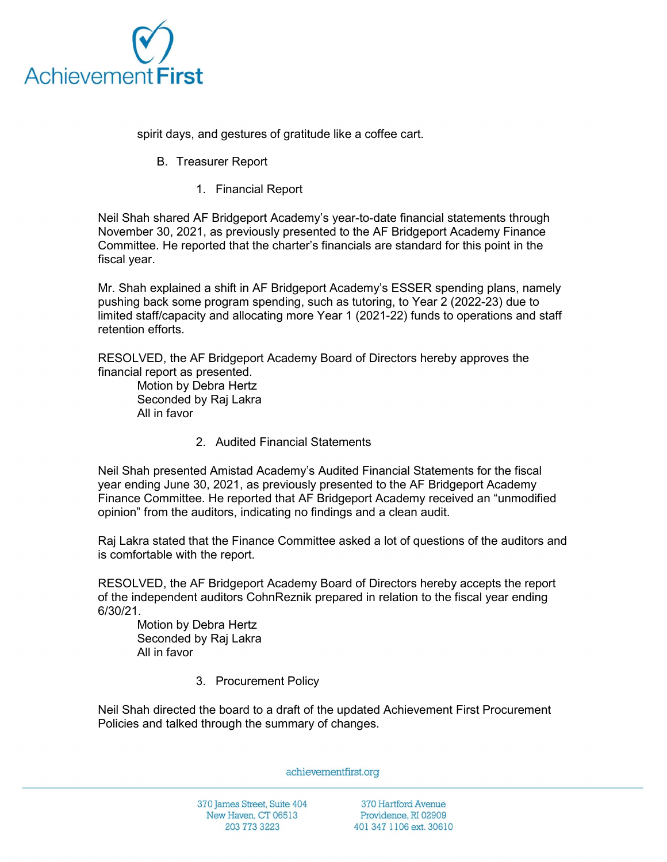

spirit days, and gestures of gratitude like a coffee cart.

- B. Treasurer Report
	- 1. Financial Report

Neil Shah shared AF Bridgeport Academy's year-to-date financial statements through November 30, 2021, as previously presented to the AF Bridgeport Academy Finance Committee. He reported that the charter's financials are standard for this point in the fiscal year.

Mr. Shah explained a shift in AF Bridgeport Academy's ESSER spending plans, namely pushing back some program spending, such as tutoring, to Year 2 (2022-23) due to limited staff/capacity and allocating more Year 1 (2021-22) funds to operations and staff retention efforts.

RESOLVED, the AF Bridgeport Academy Board of Directors hereby approves the financial report as presented.

Motion by Debra Hertz Seconded by Raj Lakra All in favor

2. Audited Financial Statements

Neil Shah presented Amistad Academy's Audited Financial Statements for the fiscal year ending June 30, 2021, as previously presented to the AF Bridgeport Academy Finance Committee. He reported that AF Bridgeport Academy received an "unmodified opinion" from the auditors, indicating no findings and a clean audit.

Raj Lakra stated that the Finance Committee asked a lot of questions of the auditors and is comfortable with the report.

RESOLVED, the AF Bridgeport Academy Board of Directors hereby accepts the report of the independent auditors CohnReznik prepared in relation to the fiscal year ending 6/30/21.

Motion by Debra Hertz Seconded by Raj Lakra All in favor

3. Procurement Policy

Neil Shah directed the board to a draft of the updated Achievement First Procurement Policies and talked through the summary of changes.

achievementfirst.org